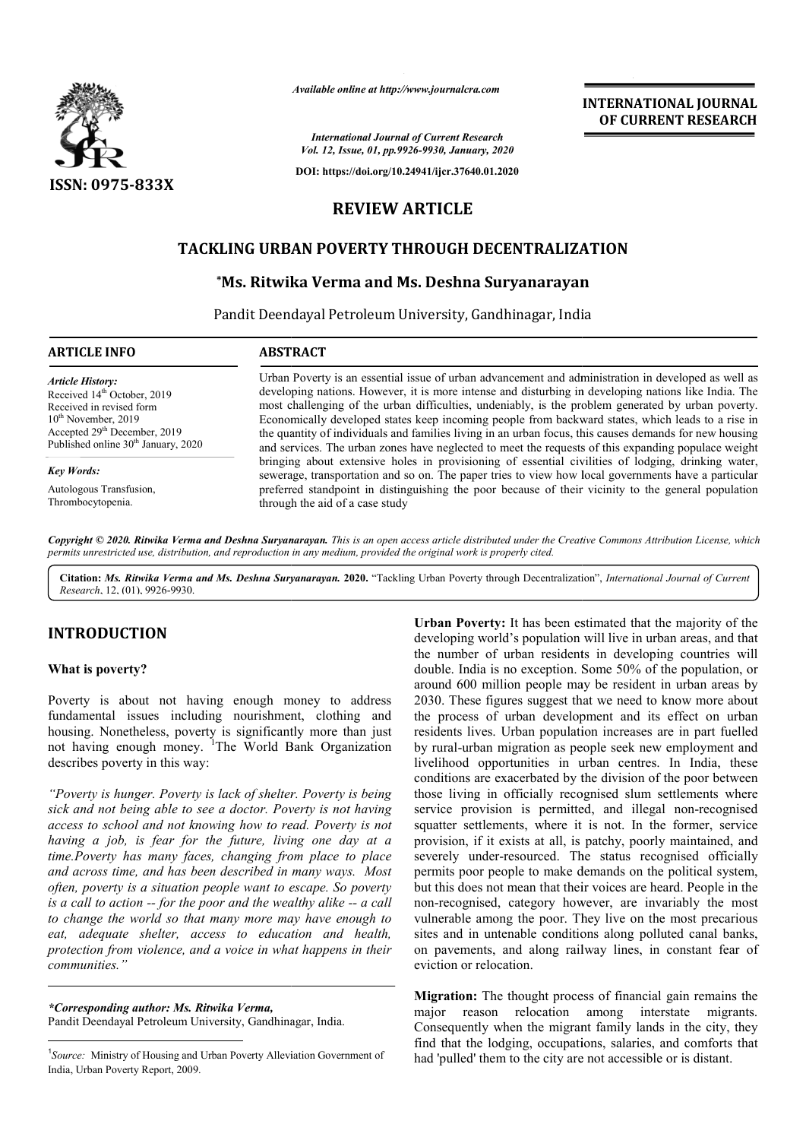

*Available online at http://www.journalcra.com*

**INTERNATIONAL JOURNAL OF CURRENT RESEARCH**

*International Journal of Current Research Vol. 12, Issue, 01, pp.9926-9930, January, 2020*

**DOI: https://doi.org/10.24941/ijcr.37640.01.2020**

# **REVIEW ARTICLE**

# **TACKLING URBAN POVERTY THROUGH DECENTRALIZATION**

## **\*Ms. Ritwika Verma and Ms. Deshna Suryanarayan Ms. Suryanarayan**

Pandit Deendayal Petroleum University, Gandhinagar, India

| <b>ARTICLE INFO</b>                             | <b>ABSTRACT</b>                                                                                                                                                                                           |
|-------------------------------------------------|-----------------------------------------------------------------------------------------------------------------------------------------------------------------------------------------------------------|
| <b>Article History:</b>                         | Urban Poverty is an essential issue of urban advancement and administration in developed as well as                                                                                                       |
| Received 14 <sup>th</sup> October, 2019         | developing nations. However, it is more intense and disturbing in developing nations like India. The                                                                                                      |
| Received in revised form                        | most challenging of the urban difficulties, undeniably, is the problem generated by urban poverty.                                                                                                        |
| $10^{th}$ November, 2019                        | Economically developed states keep incoming people from backward states, which leads to a rise in                                                                                                         |
| Accepted $29th$ December, 2019                  | the quantity of individuals and families living in an urban focus, this causes demands for new housing                                                                                                    |
| Published online 30 <sup>th</sup> January, 2020 | and services. The urban zones have neglected to meet the requests of this expanding populace weight                                                                                                       |
| <b>Key Words:</b>                               | bringing about extensive holes in provisioning of essential civilities of lodging, drinking water,<br>sewerage, transportation and so on. The paper tries to view how local governments have a particular |
| Autologous Transfusion,                         | preferred standpoint in distinguishing the poor because of their vicinity to the general population                                                                                                       |
| Thrombocytopenia.                               | through the aid of a case study                                                                                                                                                                           |

Copyright © 2020. Ritwika Verma and Deshna Suryanarayan. This is an open access article distributed under the Creative Commons Attribution License, which permits unrestricted use, distribution, and reproduction in any medium, provided the original work is properly cited.

Citation: Ms. Ritwika Verma and Ms. Deshna Suryanarayan. 2020. "Tackling Urban Poverty through Decentralization", International Journal of Current *Research*, 12, (01), 9926-9930.

## **INTRODUCTION**

#### **What is poverty?**

Poverty is about not having enough money to address fundamental issues including nourishment, clothing and housing. Nonetheless, poverty is significantly more than just not having enough money. <sup>1</sup>The World Bank Organization describes poverty in this way:

*"Poverty is hunger. Poverty is lack of shelter. Poverty is being sick and not being able to see a doctor. Poverty is not having access to school and not knowing how to read. Poverty is not having a job, is fear for the future, living one day at a time.Poverty has many faces, changing from place to place and across time, and has been described in many ways. Most often, poverty is a situation people want to escape. So poverty is a call to action -- for the poor and the wealthy alike to change the world so that many more may have enough to eat, adequate shelter, access to education and health, protection from violence, and a voice in what happens in their communities." Poverty is hunger. Poverty is lack of shelter. Poverty is being*  $ick$  *and not being able to see a doctor. Poverty is not having ccess to school and not knowing how to read. Poverty is not aving a job, is fear for the fu* 

*\*Corresponding author: Ms. Ritwika Verma,*  Pandit Deendayal Petroleum University, Gandhinagar, India.

**ON**<br> **Criban Poverty:** It has been estimated that the majority of the<br>
developing word's population will live in urban areas, and that<br>
deuble. India is no exception. Some 50% of the population, or<br>
around 600 million pop developing world's population will live in urban areas, and that the number of urban residents in developing countries will Urban Poverty: It has been estimated that the majority of the developing world's population will live in urban areas, and that the number of urban residents in developing countries will double. India is no exception. Some around 600 million people may be resident in urban areas by 2030. These figures suggest that we need to know more about the process of urban development and its effect on urban residents lives. Urban population increases are in part by rural-urban migration as people seek new employment and livelihood opportunities in urban centres. In India, these conditions are exacerbated by the division of the poor between those living in officially recognised slum settlements where service provision is permitted, and illegal non-recognised squatter settlements, where it is not. In the former, service provision, if it exists at all, is patchy, poorly maintained, and severely under-resourced. The status recognised officially permits poor people to make demands on the political system, but this does not mean that their voices are heard. People in the non-recognised, category however, are invariably the most vulnerable among the poor. They live on the most precarious sites and in untenable conditions along polluted canal banks, on pavements, and along railway lines, in constant fear of eviction or relocation. people may be resident in urban areas by<br>suggest that we need to know more about<br>an development and its effect on urban<br>an population increases are in part fuelled aral-urban migration as people seek new employment and ihood opportunities in urban centres. In India, these itions are exacerbated by the division of the poor between  $e$  living in officially recognised slum settlements w tter settlements, where it is not. In the former, service<br>ision, if it exists at all, is patchy, poorly maintained, and<br>rely under-resourced. The status recognised officially<br>its poor people to make demands on the politica

**Migration:** The thought process of financial gain remains the major reason relocation among interstate migrants. Consequently when the migrant family lands in the city, they find that the lodging, occupations, salaries, and comforts that had 'pulled' them to the city are not accessible or is distant.

 $\frac{1}{1}$ <sup>1</sup>Source: Ministry of Housing and Urban Poverty Alleviation Government of India, Urban Poverty Report, 2009.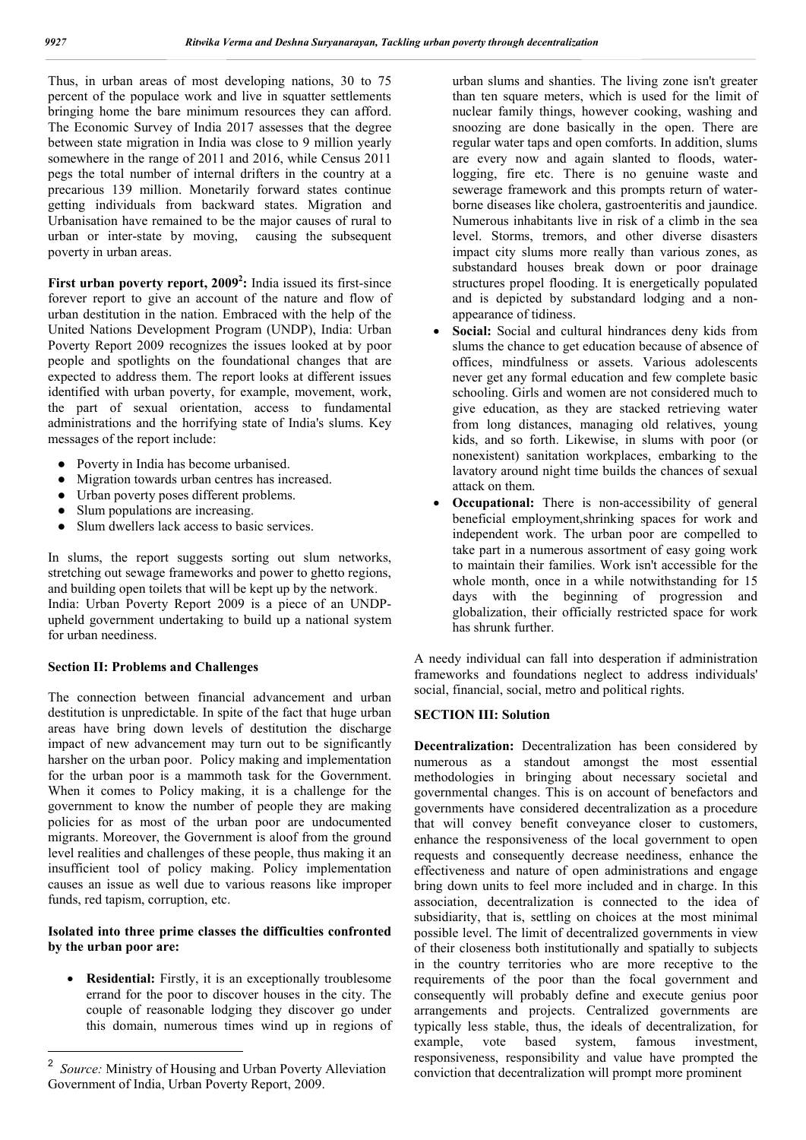Thus, in urban areas of most developing nations, 30 to 75 percent of the populace work and live in squatter settlements bringing home the bare minimum resources they can afford. The Economic Survey of India 2017 assesses that the degree between state migration in India was close to 9 million yearly somewhere in the range of 2011 and 2016, while Census 2011 pegs the total number of internal drifters in the country at a precarious 139 million. Monetarily forward states continue getting individuals from backward states. Migration and Urbanisation have remained to be the major causes of rural to urban or inter-state by moving, causing the subsequent poverty in urban areas.

First urban poverty report, 2009<sup>2</sup>: India issued its first-since forever report to give an account of the nature and flow of urban destitution in the nation. Embraced with the help of the United Nations Development Program (UNDP), India: Urban Poverty Report 2009 recognizes the issues looked at by poor people and spotlights on the foundational changes that are expected to address them. The report looks at different issues identified with urban poverty, for example, movement, work, the part of sexual orientation, access to fundamental administrations and the horrifying state of India's slums. Key messages of the report include:

- Poverty in India has become urbanised.
- Migration towards urban centres has increased.
- Urban poverty poses different problems.<br>• Slum populations are increasing.
- Slum populations are increasing.
- Slum dwellers lack access to basic services.

In slums, the report suggests sorting out slum networks, stretching out sewage frameworks and power to ghetto regions, and building open toilets that will be kept up by the network. India: Urban Poverty Report 2009 is a piece of an UNDPupheld government undertaking to build up a national system for urban neediness.

## **Section II: Problems and Challenges**

The connection between financial advancement and urban destitution is unpredictable. In spite of the fact that huge urban areas have bring down levels of destitution the discharge impact of new advancement may turn out to be significantly harsher on the urban poor. Policy making and implementation for the urban poor is a mammoth task for the Government. When it comes to Policy making, it is a challenge for the government to know the number of people they are making policies for as most of the urban poor are undocumented migrants. Moreover, the Government is aloof from the ground level realities and challenges of these people, thus making it an insufficient tool of policy making. Policy implementation causes an issue as well due to various reasons like improper funds, red tapism, corruption, etc.

### **Isolated into three prime classes the difficulties confronted by the urban poor are:**

• **Residential:** Firstly, it is an exceptionally troublesome errand for the poor to discover houses in the city. The couple of reasonable lodging they discover go under this domain, numerous times wind up in regions of urban slums and shanties. The living zone isn't greater than ten square meters, which is used for the limit of nuclear family things, however cooking, washing and snoozing are done basically in the open. There are regular water taps and open comforts. In addition, slums are every now and again slanted to floods, waterlogging, fire etc. There is no genuine waste and sewerage framework and this prompts return of waterborne diseases like cholera, gastroenteritis and jaundice. Numerous inhabitants live in risk of a climb in the sea level. Storms, tremors, and other diverse disasters impact city slums more really than various zones, as substandard houses break down or poor drainage structures propel flooding. It is energetically populated and is depicted by substandard lodging and a nonappearance of tidiness.

- **Social:** Social and cultural hindrances deny kids from slums the chance to get education because of absence of offices, mindfulness or assets. Various adolescents never get any formal education and few complete basic schooling. Girls and women are not considered much to give education, as they are stacked retrieving water from long distances, managing old relatives, young kids, and so forth. Likewise, in slums with poor (or nonexistent) sanitation workplaces, embarking to the lavatory around night time builds the chances of sexual attack on them.
- **Occupational:** There is non-accessibility of general beneficial employment,shrinking spaces for work and independent work. The urban poor are compelled to take part in a numerous assortment of easy going work to maintain their families. Work isn't accessible for the whole month, once in a while notwithstanding for 15 days with the beginning of progression and globalization, their officially restricted space for work has shrunk further.

A needy individual can fall into desperation if administration frameworks and foundations neglect to address individuals' social, financial, social, metro and political rights.

#### **SECTION III: Solution**

**Decentralization:** Decentralization has been considered by numerous as a standout amongst the most essential methodologies in bringing about necessary societal and governmental changes. This is on account of benefactors and governments have considered decentralization as a procedure that will convey benefit conveyance closer to customers, enhance the responsiveness of the local government to open requests and consequently decrease neediness, enhance the effectiveness and nature of open administrations and engage bring down units to feel more included and in charge. In this association, decentralization is connected to the idea of subsidiarity, that is, settling on choices at the most minimal possible level. The limit of decentralized governments in view of their closeness both institutionally and spatially to subjects in the country territories who are more receptive to the requirements of the poor than the focal government and consequently will probably define and execute genius poor arrangements and projects. Centralized governments are typically less stable, thus, the ideals of decentralization, for example, vote based system, famous investment, responsiveness, responsibility and value have prompted the conviction that decentralization will prompt more prominent

<sup>2</sup> *Source:* Ministry of Housing and Urban Poverty Alleviation Government of India, Urban Poverty Report, 2009.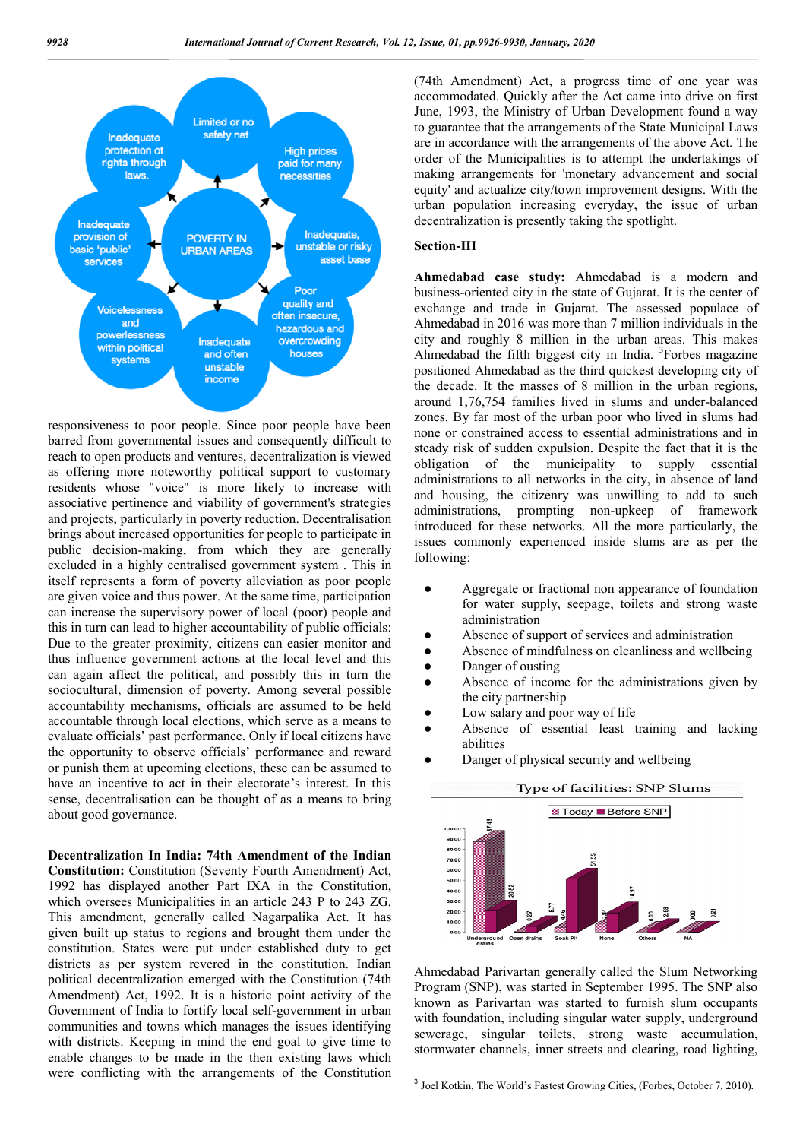

responsiveness to poor people. Since poor people have been barred from governmental issues and consequently difficult to reach to open products and ventures, decentralization is viewed as offering more noteworthy political support to customary residents whose "voice" is more likely to increase with associative pertinence and viability of government's strategies and projects, particularly in poverty reduction. Decentralisation brings about increased opportunities for people to participate in public decision-making, from which they are generally excluded in a highly centralised government system . This in itself represents a form of poverty alleviation as poor people are given voice and thus power. At the same time, participation can increase the supervisory power of local (poor) people and this in turn can lead to higher accountability of public officials: Due to the greater proximity, citizens can easier monitor and thus influence government actions at the local level and this can again affect the political, and possibly this in turn the sociocultural, dimension of poverty. Among several possible accountability mechanisms, officials are assumed to be held accountable through local elections, which serve as a means to evaluate officials' past performance. Only if local citizens have the opportunity to observe officials' performance and reward or punish them at upcoming elections, these can be assumed to have an incentive to act in their electorate's interest. In this sense, decentralisation can be thought of as a means to bring about good governance.

**Decentralization In India: 74th Amendment of the Indian Constitution:** Constitution (Seventy Fourth Amendment) Act, 1992 has displayed another Part IXA in the Constitution, which oversees Municipalities in an article 243 P to 243 ZG. This amendment, generally called Nagarpalika Act. It has given built up status to regions and brought them under the constitution. States were put under established duty to get districts as per system revered in the constitution. Indian political decentralization emerged with the Constitution (74th Amendment) Act, 1992. It is a historic point activity of the Government of India to fortify local self-government in urban communities and towns which manages the issues identifying with districts. Keeping in mind the end goal to give time to enable changes to be made in the then existing laws which were conflicting with the arrangements of the Constitution

(74th Amendment) Act, a progress time of one year was accommodated. Quickly after the Act came into drive on first June, 1993, the Ministry of Urban Development found a way to guarantee that the arrangements of the State Municipal Laws are in accordance with the arrangements of the above Act. The order of the Municipalities is to attempt the undertakings of making arrangements for 'monetary advancement and social equity' and actualize city/town improvement designs. With the urban population increasing everyday, the issue of urban decentralization is presently taking the spotlight.

#### **Section-III**

**Ahmedabad case study:** Ahmedabad is a modern and business-oriented city in the state of Gujarat. It is the center of exchange and trade in Gujarat. The assessed populace of Ahmedabad in 2016 was more than 7 million individuals in the city and roughly 8 million in the urban areas. This makes Ahmedabad the fifth biggest city in India. <sup>3</sup>Forbes magazine positioned Ahmedabad as the third quickest developing city of the decade. It the masses of 8 million in the urban regions, around 1,76,754 families lived in slums and under-balanced zones. By far most of the urban poor who lived in slums had none or constrained access to essential administrations and in steady risk of sudden expulsion. Despite the fact that it is the obligation of the municipality to supply essential administrations to all networks in the city, in absence of land and housing, the citizenry was unwilling to add to such administrations, prompting non-upkeep of framework introduced for these networks. All the more particularly, the issues commonly experienced inside slums are as per the following:

- Aggregate or fractional non appearance of foundation for water supply, seepage, toilets and strong waste administration
- Absence of support of services and administration
- Absence of mindfulness on cleanliness and wellbeing
- Danger of ousting
- Absence of income for the administrations given by the city partnership
- Low salary and poor way of life
- Absence of essential least training and lacking abilities
- Danger of physical security and wellbeing



Ahmedabad Parivartan generally called the Slum Networking Program (SNP), was started in September 1995. The SNP also known as Parivartan was started to furnish slum occupants with foundation, including singular water supply, underground sewerage, singular toilets, strong waste accumulation, stormwater channels, inner streets and clearing, road lighting,

<sup>3</sup> Joel Kotkin, The World's Fastest Growing Cities, (Forbes, October 7, 2010).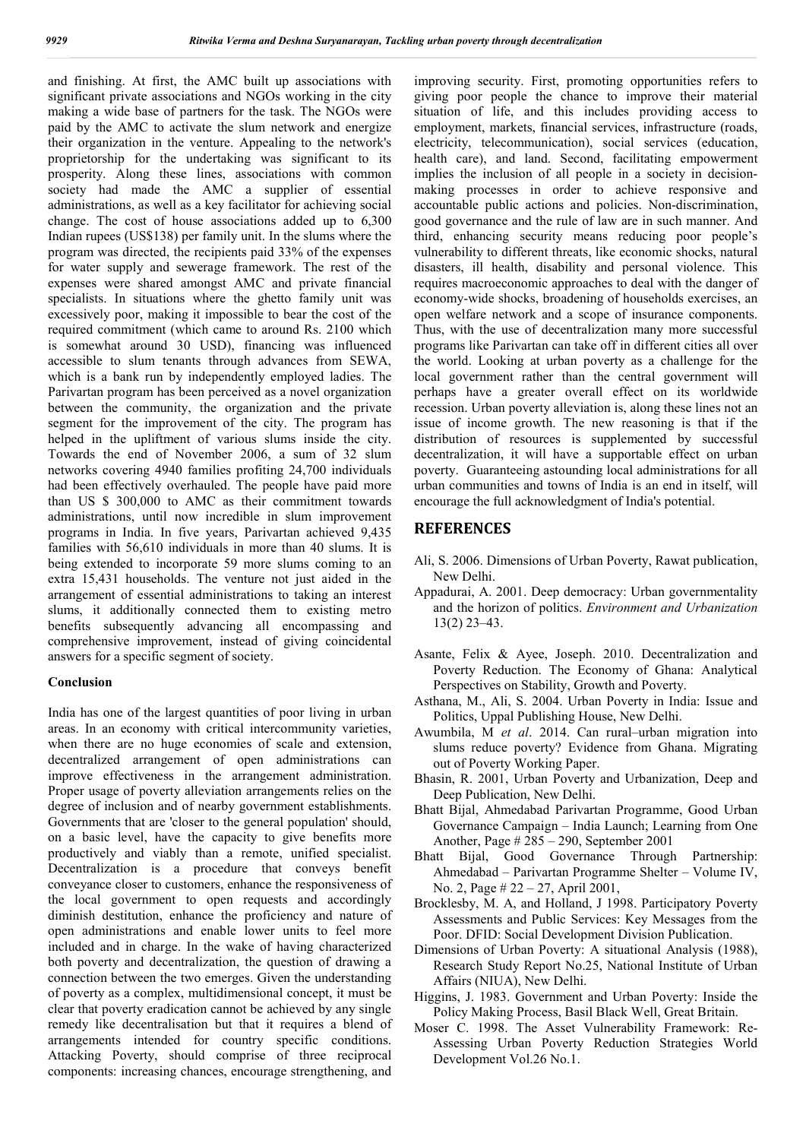and finishing. At first, the AMC built up associations with significant private associations and NGOs working in the city making a wide base of partners for the task. The NGOs were paid by the AMC to activate the slum network and energize their organization in the venture. Appealing to the network's proprietorship for the undertaking was significant to its prosperity. Along these lines, associations with common society had made the AMC a supplier of essential administrations, as well as a key facilitator for achieving social change. The cost of house associations added up to 6,300 Indian rupees (US\$138) per family unit. In the slums where the program was directed, the recipients paid 33% of the expenses for water supply and sewerage framework. The rest of the expenses were shared amongst AMC and private financial specialists. In situations where the ghetto family unit was excessively poor, making it impossible to bear the cost of the required commitment (which came to around Rs. 2100 which is somewhat around 30 USD), financing was influenced accessible to slum tenants through advances from SEWA, which is a bank run by independently employed ladies. The Parivartan program has been perceived as a novel organization between the community, the organization and the private segment for the improvement of the city. The program has helped in the upliftment of various slums inside the city. Towards the end of November 2006, a sum of 32 slum networks covering 4940 families profiting 24,700 individuals had been effectively overhauled. The people have paid more than US \$ 300,000 to AMC as their commitment towards administrations, until now incredible in slum improvement programs in India. In five years, Parivartan achieved 9,435 families with 56,610 individuals in more than 40 slums. It is being extended to incorporate 59 more slums coming to an extra 15,431 households. The venture not just aided in the arrangement of essential administrations to taking an interest slums, it additionally connected them to existing metro benefits subsequently advancing all encompassing and comprehensive improvement, instead of giving coincidental answers for a specific segment of society.

### **Conclusion**

India has one of the largest quantities of poor living in urban areas. In an economy with critical intercommunity varieties, when there are no huge economies of scale and extension, decentralized arrangement of open administrations can improve effectiveness in the arrangement administration. Proper usage of poverty alleviation arrangements relies on the degree of inclusion and of nearby government establishments. Governments that are 'closer to the general population' should, on a basic level, have the capacity to give benefits more productively and viably than a remote, unified specialist. Decentralization is a procedure that conveys benefit conveyance closer to customers, enhance the responsiveness of the local government to open requests and accordingly diminish destitution, enhance the proficiency and nature of open administrations and enable lower units to feel more included and in charge. In the wake of having characterized both poverty and decentralization, the question of drawing a connection between the two emerges. Given the understanding of poverty as a complex, multidimensional concept, it must be clear that poverty eradication cannot be achieved by any single remedy like decentralisation but that it requires a blend of arrangements intended for country specific conditions. Attacking Poverty, should comprise of three reciprocal components: increasing chances, encourage strengthening, and

improving security. First, promoting opportunities refers to giving poor people the chance to improve their material situation of life, and this includes providing access to employment, markets, financial services, infrastructure (roads, electricity, telecommunication), social services (education, health care), and land. Second, facilitating empowerment implies the inclusion of all people in a society in decisionmaking processes in order to achieve responsive and accountable public actions and policies. Non-discrimination, good governance and the rule of law are in such manner. And third, enhancing security means reducing poor people's vulnerability to different threats, like economic shocks, natural disasters, ill health, disability and personal violence. This requires macroeconomic approaches to deal with the danger of economy-wide shocks, broadening of households exercises, an open welfare network and a scope of insurance components. Thus, with the use of decentralization many more successful programs like Parivartan can take off in different cities all over the world. Looking at urban poverty as a challenge for the local government rather than the central government will perhaps have a greater overall effect on its worldwide recession. Urban poverty alleviation is, along these lines not an issue of income growth. The new reasoning is that if the distribution of resources is supplemented by successful decentralization, it will have a supportable effect on urban poverty. Guaranteeing astounding local administrations for all urban communities and towns of India is an end in itself, will encourage the full acknowledgment of India's potential.

#### **REFERENCES**

- Ali, S. 2006. Dimensions of Urban Poverty, Rawat publication, New Delhi.
- Appadurai, A. 2001. Deep democracy: Urban governmentality and the horizon of politics. *Environment and Urbanization*  13(2) 23–43.
- Asante, Felix & Ayee, Joseph. 2010. Decentralization and Poverty Reduction. The Economy of Ghana: Analytical Perspectives on Stability, Growth and Poverty.
- Asthana, M., Ali, S. 2004. Urban Poverty in India: Issue and Politics, Uppal Publishing House, New Delhi.
- Awumbila, M *et al*. 2014. Can rural–urban migration into slums reduce poverty? Evidence from Ghana. Migrating out of Poverty Working Paper.
- Bhasin, R. 2001, Urban Poverty and Urbanization, Deep and Deep Publication, New Delhi.
- Bhatt Bijal, Ahmedabad Parivartan Programme, Good Urban Governance Campaign – India Launch; Learning from One Another, Page # 285 – 290, September 2001
- Bhatt Bijal, Good Governance Through Partnership: Ahmedabad – Parivartan Programme Shelter – Volume IV, No. 2, Page # 22 – 27, April 2001,
- Brocklesby, M. A, and Holland, J 1998. Participatory Poverty Assessments and Public Services: Key Messages from the Poor. DFID: Social Development Division Publication.
- Dimensions of Urban Poverty: A situational Analysis (1988), Research Study Report No.25, National Institute of Urban Affairs (NIUA), New Delhi.
- Higgins, J. 1983. Government and Urban Poverty: Inside the Policy Making Process, Basil Black Well, Great Britain.
- Moser C. 1998. The Asset Vulnerability Framework: Re-Assessing Urban Poverty Reduction Strategies World Development Vol.26 No.1.